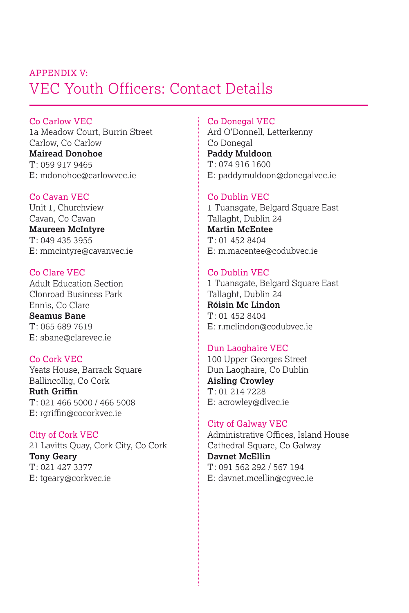# VEC Youth Officers: Contact Details APPENDIX V:

Co Carlow VEC 1a Meadow Court, Burrin Street Carlow, Co Carlow **Mairead Donohoe** T: 059 917 9465 E: mdonohoe@carlowvec.ie

Co Cavan VEC Unit 1, Churchview Cavan, Co Cavan

**Maureen McIntyre** T: 049 435 3955 E: mmcintyre@cavanvec.ie

Co Clare VEC Adult Education Section Clonroad Business Park Ennis, Co Clare **Seamus Bane** T: 065 689 7619 E: sbane@clarevec.ie

Co Cork VEC Yeats House, Barrack Square Ballincollig, Co Cork **Ruth Griffin** T: 021 466 5000 / 466 5008 E: rgriffin@cocorkvec.ie

City of Cork VEC 21 Lavitts Quay, Cork City, Co Cork **Tony Geary** T: 021 427 3377 E: tgeary@corkvec.ie

# Co Donegal VEC

Ard O'Donnell, Letterkenny Co Donegal **Paddy Muldoon** T: 074 916 1600 E: paddymuldoon@donegalvec.ie

# Co Dublin VEC

1 Tuansgate, Belgard Square East Tallaght, Dublin 24 **Martin McEntee** T: 01 452 8404 E: m.macentee@codubvec.ie

# Co Dublin VEC

1 Tuansgate, Belgard Square East Tallaght, Dublin 24 **Róisin Mc Lindon**  $T: 014528404$ E: r.mclindon@codubvec.ie

# Dun Laoghaire VEC

100 Upper Georges Street Dun Laoghaire, Co Dublin **Aisling Crowley** T: 01 214 7228 E: acrowley@dlvec.ie

# City of Galway VEC

Administrative Offices, Island House Cathedral Square, Co Galway **Davnet McEllin** T: 091 562 292 / 567 194 E: davnet.mcellin@cgvec.ie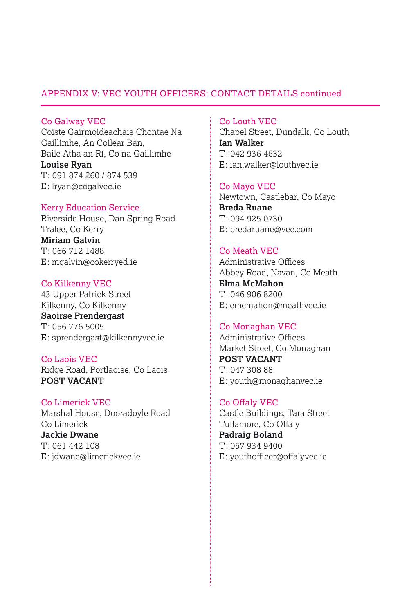# APPENDIX V: VEC YOUTH OFFICERS: CONTACT DETAILS continued

Co Galway VEC Coiste Gairmoideachais Chontae Na Gaillimhe, An Coiléar Bán, Baile Atha an Rí, Co na Gaillimhe **Louise Ryan** T: 091 874 260 / 874 539 E: lryan@cogalvec.ie

### Kerry Education Service

Riverside House, Dan Spring Road Tralee, Co Kerry **Miriam Galvin** T: 066 712 1488 E: mgalvin@cokerryed.ie

Co Kilkenny VEC 43 Upper Patrick Street Kilkenny, Co Kilkenny **Saoirse Prendergast** T: 056 776 5005 E: sprendergast@kilkennyvec.ie

Co Laois VEC Ridge Road, Portlaoise, Co Laois **POST VACANT**

Co Limerick VEC Marshal House, Dooradoyle Road Co Limerick **Jackie Dwane** T: 061 442 108 E: jdwane@limerickvec.ie

Co Louth VEC

Chapel Street, Dundalk, Co Louth **Ian Walker**  $T: 0429364632$ E: ian.walker@louthvec.ie

#### Co Mayo VEC

Newtown, Castlebar, Co Mayo **Breda Ruane** T: 094 925 0730 E: bredaruane@vec.com

### Co Meath VEC

Administrative Offices Abbey Road, Navan, Co Meath **Elma McMahon** T: 046 906 8200 E: emcmahon@meathvec.ie

#### Co Monaghan VEC

Administrative Offices Market Street, Co Monaghan **POST VACANT** T: 047 308 88 E: youth@monaghanvec.ie

Co Offaly VEC Castle Buildings, Tara Street Tullamore, Co Offaly **Padraig Boland** T: 057 934 9400 E: youthofficer@offalyvec.ie